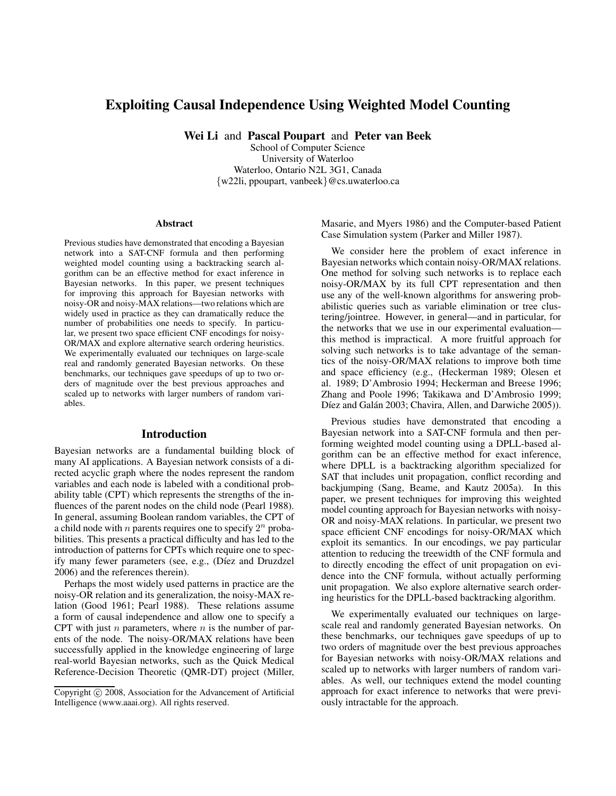# **Exploiting Causal Independence Using Weighted Model Counting**

**Wei Li** and **Pascal Poupart** and **Peter van Beek**

School of Computer Science University of Waterloo Waterloo, Ontario N2L 3G1, Canada {w22li, ppoupart, vanbeek}@cs.uwaterloo.ca

#### **Abstract**

Previous studies have demonstrated that encoding a Bayesian network into a SAT-CNF formula and then performing weighted model counting using a backtracking search algorithm can be an effective method for exact inference in Bayesian networks. In this paper, we present techniques for improving this approach for Bayesian networks with noisy-OR and noisy-MAX relations—two relations which are widely used in practice as they can dramatically reduce the number of probabilities one needs to specify. In particular, we present two space efficient CNF encodings for noisy-OR/MAX and explore alternative search ordering heuristics. We experimentally evaluated our techniques on large-scale real and randomly generated Bayesian networks. On these benchmarks, our techniques gave speedups of up to two orders of magnitude over the best previous approaches and scaled up to networks with larger numbers of random variables.

### **Introduction**

Bayesian networks are a fundamental building block of many AI applications. A Bayesian network consists of a directed acyclic graph where the nodes represent the random variables and each node is labeled with a conditional probability table (CPT) which represents the strengths of the influences of the parent nodes on the child node (Pearl 1988). In general, assuming Boolean random variables, the CPT of a child node with *n* parents requires one to specify  $2^n$  probabilities. This presents a practical difficulty and has led to the introduction of patterns for CPTs which require one to specify many fewer parameters (see, e.g., (Díez and Druzdzel 2006) and the references therein).

Perhaps the most widely used patterns in practice are the noisy-OR relation and its generalization, the noisy-MAX relation (Good 1961; Pearl 1988). These relations assume a form of causal independence and allow one to specify a CPT with just  $n$  parameters, where  $n$  is the number of parents of the node. The noisy-OR/MAX relations have been successfully applied in the knowledge engineering of large real-world Bayesian networks, such as the Quick Medical Reference-Decision Theoretic (QMR-DT) project (Miller, Masarie, and Myers 1986) and the Computer-based Patient Case Simulation system (Parker and Miller 1987).

We consider here the problem of exact inference in Bayesian networks which contain noisy-OR/MAX relations. One method for solving such networks is to replace each noisy-OR/MAX by its full CPT representation and then use any of the well-known algorithms for answering probabilistic queries such as variable elimination or tree clustering/jointree. However, in general—and in particular, for the networks that we use in our experimental evaluation this method is impractical. A more fruitful approach for solving such networks is to take advantage of the semantics of the noisy-OR/MAX relations to improve both time and space efficiency (e.g., (Heckerman 1989; Olesen et al. 1989; D'Ambrosio 1994; Heckerman and Breese 1996; Zhang and Poole 1996; Takikawa and D'Ambrosio 1999; Díez and Galán 2003; Chavira, Allen, and Darwiche 2005).

Previous studies have demonstrated that encoding a Bayesian network into a SAT-CNF formula and then performing weighted model counting using a DPLL-based algorithm can be an effective method for exact inference, where DPLL is a backtracking algorithm specialized for SAT that includes unit propagation, conflict recording and backjumping (Sang, Beame, and Kautz 2005a). In this paper, we present techniques for improving this weighted model counting approach for Bayesian networks with noisy-OR and noisy-MAX relations. In particular, we present two space efficient CNF encodings for noisy-OR/MAX which exploit its semantics. In our encodings, we pay particular attention to reducing the treewidth of the CNF formula and to directly encoding the effect of unit propagation on evidence into the CNF formula, without actually performing unit propagation. We also explore alternative search ordering heuristics for the DPLL-based backtracking algorithm.

We experimentally evaluated our techniques on largescale real and randomly generated Bayesian networks. On these benchmarks, our techniques gave speedups of up to two orders of magnitude over the best previous approaches for Bayesian networks with noisy-OR/MAX relations and scaled up to networks with larger numbers of random variables. As well, our techniques extend the model counting approach for exact inference to networks that were previously intractable for the approach.

Copyright © 2008, Association for the Advancement of Artificial Intelligence (www.aaai.org). All rights reserved.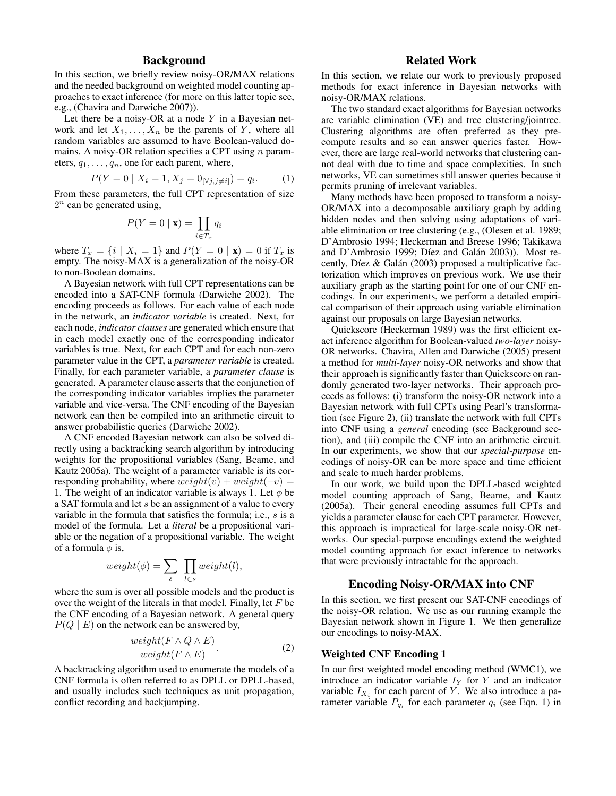### **Background**

In this section, we briefly review noisy-OR/MAX relations and the needed background on weighted model counting approaches to exact inference (for more on this latter topic see, e.g., (Chavira and Darwiche 2007)).

Let there be a noisy-OR at a node  $Y$  in a Bayesian network and let  $X_1, \ldots, X_n$  be the parents of Y, where all random variables are assumed to have Boolean-valued domains. A noisy-OR relation specifies a CPT using  $n$  parameters,  $q_1, \ldots, q_n$ , one for each parent, where,

$$
P(Y = 0 \mid X_i = 1, X_j = 0_{[\forall j, j \neq i]}) = q_i.
$$
 (1)

From these parameters, the full CPT representation of size  $2^n$  can be generated using,

$$
P(Y=0 \mid \mathbf{x}) = \prod_{i \in T_x} q_i
$$

where  $T_x = \{i \mid X_i = 1\}$  and  $P(Y = 0 \mid \mathbf{x}) = 0$  if  $T_x$  is empty. The noisy-MAX is a generalization of the noisy-OR to non-Boolean domains.

A Bayesian network with full CPT representations can be encoded into a SAT-CNF formula (Darwiche 2002). The encoding proceeds as follows. For each value of each node in the network, an *indicator variable* is created. Next, for each node, *indicator clauses* are generated which ensure that in each model exactly one of the corresponding indicator variables is true. Next, for each CPT and for each non-zero parameter value in the CPT, a *parameter variable* is created. Finally, for each parameter variable, a *parameter clause* is generated. A parameter clause asserts that the conjunction of the corresponding indicator variables implies the parameter variable and vice-versa. The CNF encoding of the Bayesian network can then be compiled into an arithmetic circuit to answer probabilistic queries (Darwiche 2002).

A CNF encoded Bayesian network can also be solved directly using a backtracking search algorithm by introducing weights for the propositional variables (Sang, Beame, and Kautz 2005a). The weight of a parameter variable is its corresponding probability, where  $weight(v) + weight(\neg v) =$ 1. The weight of an indicator variable is always 1. Let  $\phi$  be a SAT formula and let s be an assignment of a value to every variable in the formula that satisfies the formula; i.e., s is a model of the formula. Let a *literal* be a propositional variable or the negation of a propositional variable. The weight of a formula  $\phi$  is,

$$
weight(\phi) = \sum_{s} \prod_{l \in s} weight(l),
$$

where the sum is over all possible models and the product is over the weight of the literals in that model. Finally, let  $F$  be the CNF encoding of a Bayesian network. A general query  $P(Q | E)$  on the network can be answered by,

$$
\frac{weight(F \land Q \land E)}{weight(F \land E)}.\tag{2}
$$

A backtracking algorithm used to enumerate the models of a CNF formula is often referred to as DPLL or DPLL-based, and usually includes such techniques as unit propagation, conflict recording and backjumping.

### **Related Work**

In this section, we relate our work to previously proposed methods for exact inference in Bayesian networks with noisy-OR/MAX relations.

The two standard exact algorithms for Bayesian networks are variable elimination (VE) and tree clustering/jointree. Clustering algorithms are often preferred as they precompute results and so can answer queries faster. However, there are large real-world networks that clustering cannot deal with due to time and space complexities. In such networks, VE can sometimes still answer queries because it permits pruning of irrelevant variables.

Many methods have been proposed to transform a noisy-OR/MAX into a decomposable auxiliary graph by adding hidden nodes and then solving using adaptations of variable elimination or tree clustering (e.g., (Olesen et al. 1989; D'Ambrosio 1994; Heckerman and Breese 1996; Takikawa and D'Ambrosio 1999; Díez and Galán 2003)). Most recently, Díez & Galán (2003) proposed a multiplicative factorization which improves on previous work. We use their auxiliary graph as the starting point for one of our CNF encodings. In our experiments, we perform a detailed empirical comparison of their approach using variable elimination against our proposals on large Bayesian networks.

Quickscore (Heckerman 1989) was the first efficient exact inference algorithm for Boolean-valued *two-layer* noisy-OR networks. Chavira, Allen and Darwiche (2005) present a method for *multi-layer* noisy-OR networks and show that their approach is significantly faster than Quickscore on randomly generated two-layer networks. Their approach proceeds as follows: (i) transform the noisy-OR network into a Bayesian network with full CPTs using Pearl's transformation (see Figure 2), (ii) translate the network with full CPTs into CNF using a *general* encoding (see Background section), and (iii) compile the CNF into an arithmetic circuit. In our experiments, we show that our *special-purpose* encodings of noisy-OR can be more space and time efficient and scale to much harder problems.

In our work, we build upon the DPLL-based weighted model counting approach of Sang, Beame, and Kautz (2005a). Their general encoding assumes full CPTs and yields a parameter clause for each CPT parameter. However, this approach is impractical for large-scale noisy-OR networks. Our special-purpose encodings extend the weighted model counting approach for exact inference to networks that were previously intractable for the approach.

### **Encoding Noisy-OR/MAX into CNF**

In this section, we first present our SAT-CNF encodings of the noisy-OR relation. We use as our running example the Bayesian network shown in Figure 1. We then generalize our encodings to noisy-MAX.

#### **Weighted CNF Encoding 1**

In our first weighted model encoding method (WMC1), we introduce an indicator variable  $I_Y$  for Y and an indicator variable  $I_{X_i}$  for each parent of Y. We also introduce a parameter variable  $P_{q_i}$  for each parameter  $q_i$  (see Eqn. 1) in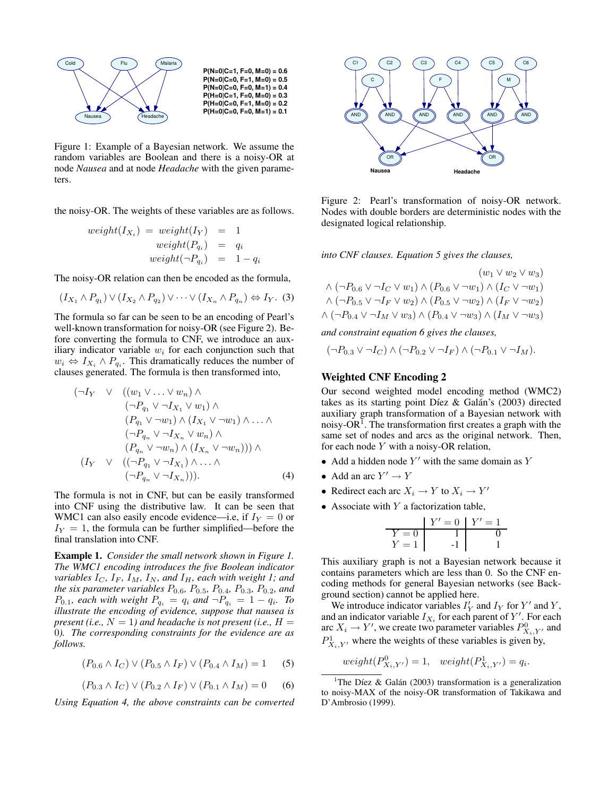

Figure 1: Example of a Bayesian network. We assume the random variables are Boolean and there is a noisy-OR at node *Nausea* and at node *Headache* with the given parameters.

the noisy-OR. The weights of these variables are as follows.

$$
weight(I_{X_i}) = weight(I_Y) = 1
$$
  
\n
$$
weight(P_{q_i}) = q_i
$$
  
\n
$$
weight(\neg P_{q_i}) = 1 - q_i
$$

The noisy-OR relation can then be encoded as the formula,

$$
(I_{X_1} \wedge P_{q_1}) \vee (I_{X_2} \wedge P_{q_2}) \vee \cdots \vee (I_{X_n} \wedge P_{q_n}) \Leftrightarrow I_Y. (3)
$$

The formula so far can be seen to be an encoding of Pearl's well-known transformation for noisy-OR (see Figure 2). Before converting the formula to CNF, we introduce an auxiliary indicator variable  $w_i$  for each conjunction such that  $w_i \Leftrightarrow I_{X_i} \wedge P_{q_i}$ . This dramatically reduces the number of clauses generated. The formula is then transformed into,

$$
(\neg I_Y \lor ((w_1 \lor \dots \lor w_n) \land \n(\neg P_{q_1} \lor \neg I_{X_1} \lor w_1) \land (P_{q_1} \lor \neg w_1) \land (I_{X_1} \lor \neg w_1) \land \dots \land (\neg P_{q_n} \lor \neg I_{X_n} \lor w_n) \land (P_{q_n} \lor \neg w_n) \land (I_{X_n} \lor \neg w_n))) \land (I_Y \lor ((\neg P_{q_1} \lor \neg I_{X_1}) \land \dots \land (\neg P_{q_n} \lor \neg I_{X_n}))).
$$
\n(4)

The formula is not in CNF, but can be easily transformed into CNF using the distributive law. It can be seen that WMC1 can also easily encode evidence—i.e, if  $I_Y = 0$  or  $I_Y = 1$ , the formula can be further simplified—before the final translation into CNF.

**Example 1.** *Consider the small network shown in Figure 1. The WMC1 encoding introduces the five Boolean indicator variables*  $I_C$ ,  $I_F$ ,  $I_M$ ,  $I_N$ , and  $I_H$ , each with weight 1; and *the six parameter variables* P0.6*,* P0.5*,* P0.4*,* P0.3*,* P0.2*, and*  $P_{0.1}$ *, each with weight*  $P_{q_i} = q_i$  and  $\neg P_{q_i} = 1 - q_i$ *. To illustrate the encoding of evidence, suppose that nausea is present (i.e.,*  $N = 1$ ) and headache is not present (i.e.,  $H =$ 0*). The corresponding constraints for the evidence are as follows.*

$$
(P_{0.6} \wedge I_C) \vee (P_{0.5} \wedge I_F) \vee (P_{0.4} \wedge I_M) = 1
$$
 (5)

$$
(P_{0.3} \wedge I_C) \vee (P_{0.2} \wedge I_F) \vee (P_{0.1} \wedge I_M) = 0 \qquad (6)
$$

*Using Equation 4, the above constraints can be converted*



Figure 2: Pearl's transformation of noisy-OR network. Nodes with double borders are deterministic nodes with the designated logical relationship.

*into CNF clauses. Equation 5 gives the clauses,*

$$
(w_1 \vee w_2 \vee w_3)
$$
  
\n
$$
\wedge (\neg P_{0.6} \vee \neg I_C \vee w_1) \wedge (P_{0.6} \vee \neg w_1) \wedge (I_C \vee \neg w_1)
$$
  
\n
$$
\wedge (\neg P_{0.5} \vee \neg I_F \vee w_2) \wedge (P_{0.5} \vee \neg w_2) \wedge (I_F \vee \neg w_2)
$$
  
\n
$$
\wedge (\neg P_{0.4} \vee \neg I_M \vee w_3) \wedge (P_{0.4} \vee \neg w_3) \wedge (I_M \vee \neg w_3)
$$

*and constraint equation 6 gives the clauses,*

$$
(\neg P_{0.3} \vee \neg I_C) \wedge (\neg P_{0.2} \vee \neg I_F) \wedge (\neg P_{0.1} \vee \neg I_M).
$$

### **Weighted CNF Encoding 2**

Our second weighted model encoding method (WMC2) takes as its starting point Díez & Galán's  $(2003)$  directed auxiliary graph transformation of a Bayesian network with noisy-OR<sup>1</sup>. The transformation first creates a graph with the same set of nodes and arcs as the original network. Then, for each node  $Y$  with a noisy-OR relation,

- Add a hidden node  $Y'$  with the same domain as Y
- Add an arc  $Y' \to Y$
- Redirect each arc  $X_i \to Y$  to  $X_i \to Y'$
- Associate with  $Y$  a factorization table,

$$
Y' = 0 \n Y' = 1\n\n Y = 1\n\n 1\n\n 0\n\n 1\n\n 1\n
$$

This auxiliary graph is not a Bayesian network because it contains parameters which are less than 0. So the CNF encoding methods for general Bayesian networks (see Background section) cannot be applied here.

We introduce indicator variables  $I'_Y$  and  $I_Y$  for  $Y'$  and  $Y$ , and an indicator variable  $I_{X_i}$  for each parent of Y'. For each arc  $X_i \to Y'$ , we create two parameter variables  $P_{X_i, Y'}^0$  and  $P^1_{X_i, Y'}$  where the weights of these variables is given by,

$$
weight(P^0_{X_i,Y'}) = 1, \quad weight(P^1_{X_i,Y'}) = q_i.
$$

<sup>1</sup>The Díez & Galán (2003) transformation is a generalization to noisy-MAX of the noisy-OR transformation of Takikawa and D'Ambrosio (1999).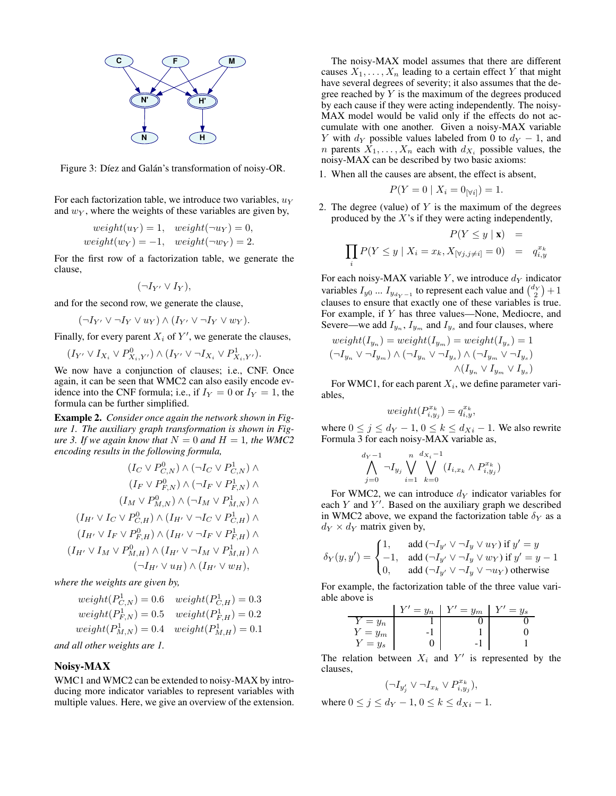

Figure 3: Díez and Galán's transformation of noisy-OR.

For each factorization table, we introduce two variables,  $u<sub>Y</sub>$ and  $w_Y$ , where the weights of these variables are given by,

$$
weight(u_Y) = 1, \quad weight(\neg u_Y) = 0,
$$
  

$$
weight(w_Y) = -1, \quad weight(\neg w_Y) = 2.
$$

For the first row of a factorization table, we generate the clause,

$$
(\neg I_{Y'} \vee I_Y),
$$

and for the second row, we generate the clause,

$$
(\neg I_{Y'} \vee \neg I_Y \vee u_Y) \wedge (I_{Y'} \vee \neg I_Y \vee w_Y).
$$

Finally, for every parent  $X_i$  of  $Y'$ , we generate the clauses,

 $(I_{Y'} \vee I_{X_i} \vee P^0_{X_i,Y'}) \wedge (I_{Y'} \vee \neg I_{X_i} \vee P^1_{X_i,Y'}).$ 

We now have a conjunction of clauses; i.e., CNF. Once again, it can be seen that WMC2 can also easily encode evidence into the CNF formula; i.e., if  $I_Y = 0$  or  $I_Y = 1$ , the formula can be further simplified.

**Example 2.** *Consider once again the network shown in Figure 1. The auxiliary graph transformation is shown in Figure 3. If we again know that*  $N = 0$  *and*  $H = 1$ *, the WMC2 encoding results in the following formula,*

$$
(I_C \vee P_{C,N}^0) \wedge (\neg I_C \vee P_{C,N}^1) \wedge (I_F \vee P_{F,N}^0) \wedge (\neg I_F \vee P_{F,N}^1) \wedge (I_M \vee P_{M,N}^0) \wedge (\neg I_M \vee P_{M,N}^1) \wedge (I_{H'} \vee I_C \vee P_{C,H}^0) \wedge (I_{H'} \vee \neg I_C \vee P_{C,H}^1) \wedge (I_{H'} \vee I_F \vee P_{F,H}^0) \wedge (I_{H'} \vee \neg I_F \vee P_{F,H}^1) \wedge (I_{H'} \vee I_M \vee P_{M,H}^0) \wedge (I_{H'} \vee \neg I_M \vee P_{M,H}^1) \wedge (\neg I_{H'} \vee u_H) \wedge (I_{H'} \vee w_H),
$$

*where the weights are given by,*

$$
weight(P_{C,N}^1) = 0.6 \quad weight(P_{C,H}^1) = 0.3
$$
  
\n
$$
weight(P_{F,N}^1) = 0.5 \quad weight(P_{F,H}^1) = 0.2
$$
  
\n
$$
weight(P_{M,N}^1) = 0.4 \quad weight(P_{M,H}^1) = 0.1
$$

*and all other weights are 1.*

### **Noisy-MAX**

WMC1 and WMC2 can be extended to noisy-MAX by introducing more indicator variables to represent variables with multiple values. Here, we give an overview of the extension.

The noisy-MAX model assumes that there are different causes  $X_1, \ldots, X_n$  leading to a certain effect Y that might have several degrees of severity; it also assumes that the degree reached by  $Y$  is the maximum of the degrees produced by each cause if they were acting independently. The noisy-MAX model would be valid only if the effects do not accumulate with one another. Given a noisy-MAX variable Y with  $d_Y$  possible values labeled from 0 to  $d_Y - 1$ , and *n* parents  $X_1, \ldots, X_n$  each with  $d_{X_i}$  possible values, the noisy-MAX can be described by two basic axioms:

1. When all the causes are absent, the effect is absent,

$$
P(Y = 0 \mid X_i = 0_{[\forall i]}) = 1.
$$

2. The degree (value) of  $Y$  is the maximum of the degrees produced by the  $X$ 's if they were acting independently,

$$
P(Y \le y \mid \mathbf{x}) =
$$
  

$$
\prod_{i} P(Y \le y \mid X_i = x_k, X_{[\forall j, j \neq i]} = 0) = q_{i, y}^{x_k}
$$

For each noisy-MAX variable Y, we introduce  $d_Y$  indicator variables  $I_{y0}$  ...  $I_{y_{d_y-1}}$  to represent each value and  $\binom{d_y}{2}+1$ clauses to ensure that exactly one of these variables is true. For example, if Y has three values—None, Mediocre, and Severe—we add  $I_{y_n}$ ,  $I_{y_m}$  and  $I_{y_s}$  and four clauses, where

$$
\begin{aligned} weight(I_{y_n}) &= weight(I_{y_m}) = weight(I_{y_s}) = 1\\ (\neg I_{y_n} \vee \neg I_{y_m}) \wedge (\neg I_{y_n} \vee \neg I_{y_s}) \wedge (\neg I_{y_m} \vee \neg I_{y_s}) \\ &\wedge (I_{y_n} \vee I_{y_m} \vee I_{y_s}) \end{aligned}
$$

For WMC1, for each parent  $X_i$ , we define parameter variables,

$$
weight(P_{i,y_j}^{x_k}) = q_{i,y}^{x_k},
$$

where  $0 \le j \le d_Y - 1$ ,  $0 \le k \le d_{Xi} - 1$ . We also rewrite Formula 3 for each noisy-MAX variable as,

$$
\bigwedge_{j=0}^{d_Y-1} \neg I_{y_j} \bigvee_{i=1}^{n} \bigvee_{k=0}^{d_{X_i}-1} (I_{i,x_k} \wedge P_{i,y_j}^{x_k})
$$

For WMC2, we can introduce  $d_V$  indicator variables for each  $Y$  and  $Y'$ . Based on the auxiliary graph we described in WMC2 above, we expand the factorization table  $\delta_Y$  as a  $d_Y \times d_Y$  matrix given by,

$$
\delta_Y(y, y') = \begin{cases} 1, & \text{add } (\neg I_{y'} \vee \neg I_y \vee u_Y) \text{ if } y' = y \\ -1, & \text{add } (\neg I_{y'} \vee \neg I_y \vee w_Y) \text{ if } y' = y - 1 \\ 0, & \text{add } (\neg I_{y'} \vee \neg I_y \vee \neg u_Y) \text{ otherwise} \end{cases}
$$

For example, the factorization table of the three value variable above is

|         | $V' = y_n$ | $V' = y_m$ | $= y_s$ |
|---------|------------|------------|---------|
| $= y_n$ |            |            |         |
| $= y_m$ |            |            |         |
| $= y_s$ |            |            |         |

The relation between  $X_i$  and  $Y'$  is represented by the clauses,

$$
(\neg I_{y'_j} \vee \neg I_{x_k} \vee P_{i,y_j}^{x_k}),
$$

where  $0 \le j \le d_Y - 1, 0 \le k \le d_{Xi} - 1$ .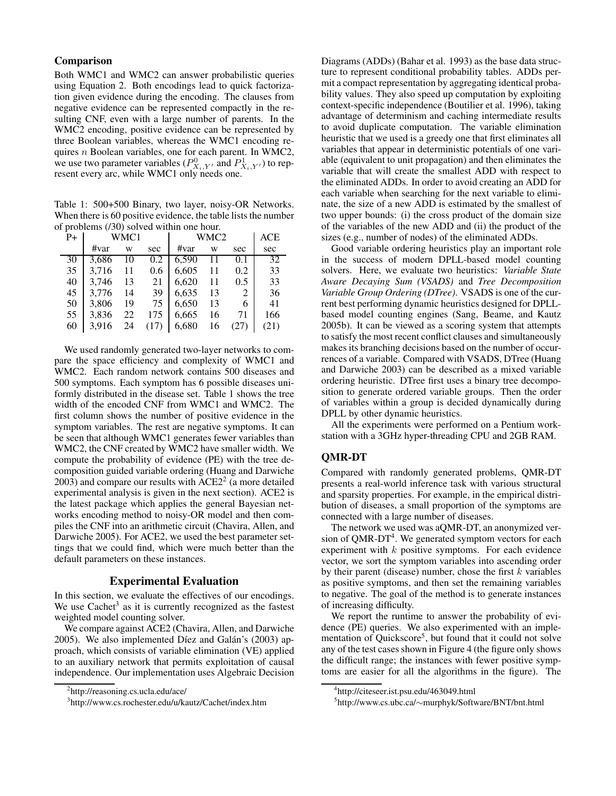## **Comparison**

Both WMC1 and WMC2 can answer probabilistic queries using Equation 2. Both encodings lead to quick factorization given evidence during the encoding. The clauses from negative evidence can be represented compactly in the resulting CNF, even with a large number of parents. In the WMC2 encoding, positive evidence can be represented by three Boolean variables, whereas the WMC1 encoding requires n Boolean variables, one for each parent. In WMC2, we use two parameter variables  $(P^0_{X_i,Y'}$  and  $P^1_{X_i,Y'}$ ) to represent every arc, while WMC1 only needs one.

Table 1: 500+500 Binary, two layer, noisy-OR Networks. When there is 60 positive evidence, the table lists the number of problems (/30) solved within one hour.

| -<br>$P+$ |       | WMC1 |      |       | WMC2 |      | ACE  |
|-----------|-------|------|------|-------|------|------|------|
|           | #var  | W    | sec  | #var  | W    | sec  | sec  |
| 30        | 3.686 | 10   | 0.2  | 6,590 | 11   | 0.1  | 32   |
| 35        | 3.716 | 11   | 0.6  | 6,605 | 11   | 0.2  | 33   |
| 40        | 3.746 | 13   | 21   | 6.620 | 11   | 0.5  | 33   |
| 45        | 3,776 | 14   | 39   | 6,635 | 13   | 2    | 36   |
| 50        | 3.806 | 19   | 75   | 6.650 | 13   | 6    | 41   |
| 55        | 3.836 | 22   | 175  | 6,665 | 16   | 71   | 166  |
| 60        | 3.916 | 24   | (17) | 6,680 | 16   | (27) | (21) |

We used randomly generated two-layer networks to compare the space efficiency and complexity of WMC1 and WMC2. Each random network contains 500 diseases and 500 symptoms. Each symptom has 6 possible diseases uniformly distributed in the disease set. Table 1 shows the tree width of the encoded CNF from WMC1 and WMC2. The first column shows the number of positive evidence in the symptom variables. The rest are negative symptoms. It can be seen that although WMC1 generates fewer variables than WMC2, the CNF created by WMC2 have smaller width. We compute the probability of evidence (PE) with the tree decomposition guided variable ordering (Huang and Darwiche 2003) and compare our results with  $\text{ACE}2^2$  (a more detailed experimental analysis is given in the next section). ACE2 is the latest package which applies the general Bayesian networks encoding method to noisy-OR model and then compiles the CNF into an arithmetic circuit (Chavira, Allen, and Darwiche 2005). For ACE2, we used the best parameter settings that we could find, which were much better than the default parameters on these instances.

### **Experimental Evaluation**

In this section, we evaluate the effectives of our encodings. We use Cachet<sup>3</sup> as it is currently recognized as the fastest weighted model counting solver.

We compare against ACE2 (Chavira, Allen, and Darwiche 2005). We also implemented Díez and Galán's  $(2003)$  approach, which consists of variable elimination (VE) applied to an auxiliary network that permits exploitation of causal independence. Our implementation uses Algebraic Decision

Diagrams (ADDs) (Bahar et al. 1993) as the base data structure to represent conditional probability tables. ADDs permit a compact representation by aggregating identical probability values. They also speed up computation by exploiting context-specific independence (Boutilier et al. 1996), taking advantage of determinism and caching intermediate results to avoid duplicate computation. The variable elimination heuristic that we used is a greedy one that first eliminates all variables that appear in deterministic potentials of one variable (equivalent to unit propagation) and then eliminates the variable that will create the smallest ADD with respect to the eliminated ADDs. In order to avoid creating an ADD for each variable when searching for the next variable to eliminate, the size of a new ADD is estimated by the smallest of two upper bounds: (i) the cross product of the domain size of the variables of the new ADD and (ii) the product of the sizes (e.g., number of nodes) of the eliminated ADDs.

Good variable ordering heuristics play an important role in the success of modern DPLL-based model counting solvers. Here, we evaluate two heuristics: *Variable State Aware Decaying Sum (VSADS)* and *Tree Decomposition Variable Group Ordering (DTree)*. VSADS is one of the current best performing dynamic heuristics designed for DPLLbased model counting engines (Sang, Beame, and Kautz 2005b). It can be viewed as a scoring system that attempts to satisfy the most recent conflict clauses and simultaneously makes its branching decisions based on the number of occurrences of a variable. Compared with VSADS, DTree (Huang and Darwiche 2003) can be described as a mixed variable ordering heuristic. DTree first uses a binary tree decomposition to generate ordered variable groups. Then the order of variables within a group is decided dynamically during DPLL by other dynamic heuristics.

All the experiments were performed on a Pentium workstation with a 3GHz hyper-threading CPU and 2GB RAM.

### **QMR-DT**

Compared with randomly generated problems, QMR-DT presents a real-world inference task with various structural and sparsity properties. For example, in the empirical distribution of diseases, a small proportion of the symptoms are connected with a large number of diseases.

The network we used was aQMR-DT, an anonymized version of QMR-DT<sup>4</sup>. We generated symptom vectors for each experiment with  $k$  positive symptoms. For each evidence vector, we sort the symptom variables into ascending order by their parent (disease) number, chose the first  $k$  variables as positive symptoms, and then set the remaining variables to negative. The goal of the method is to generate instances of increasing difficulty.

We report the runtime to answer the probability of evidence (PE) queries. We also experimented with an implementation of Quickscore<sup>5</sup>, but found that it could not solve any of the test cases shown in Figure 4 (the figure only shows the difficult range; the instances with fewer positive symptoms are easier for all the algorithms in the figure). The

<sup>2</sup> http://reasoning.cs.ucla.edu/ace/

<sup>3</sup> http://www.cs.rochester.edu/u/kautz/Cachet/index.htm

<sup>4</sup> http://citeseer.ist.psu.edu/463049.html

<sup>5</sup> http://www.cs.ubc.ca/∼murphyk/Software/BNT/bnt.html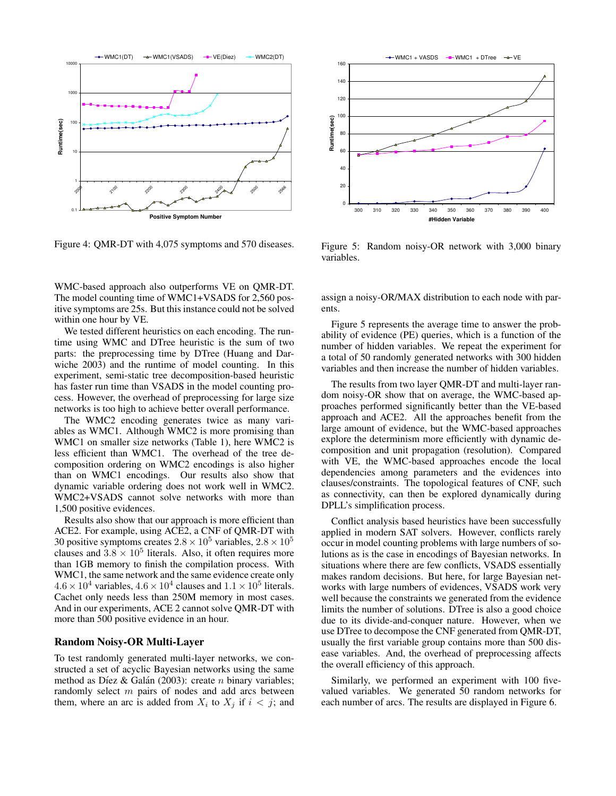

Figure 4: QMR-DT with 4,075 symptoms and 570 diseases.

WMC-based approach also outperforms VE on QMR-DT. The model counting time of WMC1+VSADS for 2,560 positive symptoms are 25s. But this instance could not be solved within one hour by VE.

We tested different heuristics on each encoding. The runtime using WMC and DTree heuristic is the sum of two parts: the preprocessing time by DTree (Huang and Darwiche 2003) and the runtime of model counting. In this experiment, semi-static tree decomposition-based heuristic has faster run time than VSADS in the model counting process. However, the overhead of preprocessing for large size networks is too high to achieve better overall performance.

The WMC2 encoding generates twice as many variables as WMC1. Although WMC2 is more promising than WMC1 on smaller size networks (Table 1), here WMC2 is less efficient than WMC1. The overhead of the tree decomposition ordering on WMC2 encodings is also higher than on WMC1 encodings. Our results also show that dynamic variable ordering does not work well in WMC2. WMC2+VSADS cannot solve networks with more than 1,500 positive evidences.

Results also show that our approach is more efficient than ACE2. For example, using ACE2, a CNF of QMR-DT with 30 positive symptoms creates  $2.8 \times 10^5$  variables,  $2.8 \times 10^5$ clauses and  $3.8 \times 10^5$  literals. Also, it often requires more than 1GB memory to finish the compilation process. With WMC1, the same network and the same evidence create only  $4.6 \times 10^4$  variables,  $4.6 \times 10^4$  clauses and  $1.1 \times 10^5$  literals. Cachet only needs less than 250M memory in most cases. And in our experiments, ACE 2 cannot solve QMR-DT with more than 500 positive evidence in an hour.

#### **Random Noisy-OR Multi-Layer**

To test randomly generated multi-layer networks, we constructed a set of acyclic Bayesian networks using the same method as Díez & Galán (2003): create  $n$  binary variables; randomly select m pairs of nodes and add arcs between them, where an arc is added from  $X_i$  to  $X_j$  if  $i < j$ ; and



Figure 5: Random noisy-OR network with 3,000 binary variables.

assign a noisy-OR/MAX distribution to each node with parents.

Figure 5 represents the average time to answer the probability of evidence (PE) queries, which is a function of the number of hidden variables. We repeat the experiment for a total of 50 randomly generated networks with 300 hidden variables and then increase the number of hidden variables.

The results from two layer QMR-DT and multi-layer random noisy-OR show that on average, the WMC-based approaches performed significantly better than the VE-based approach and ACE2. All the approaches benefit from the large amount of evidence, but the WMC-based approaches explore the determinism more efficiently with dynamic decomposition and unit propagation (resolution). Compared with VE, the WMC-based approaches encode the local dependencies among parameters and the evidences into clauses/constraints. The topological features of CNF, such as connectivity, can then be explored dynamically during DPLL's simplification process.

Conflict analysis based heuristics have been successfully applied in modern SAT solvers. However, conflicts rarely occur in model counting problems with large numbers of solutions as is the case in encodings of Bayesian networks. In situations where there are few conflicts, VSADS essentially makes random decisions. But here, for large Bayesian networks with large numbers of evidences, VSADS work very well because the constraints we generated from the evidence limits the number of solutions. DTree is also a good choice due to its divide-and-conquer nature. However, when we use DTree to decompose the CNF generated from QMR-DT, usually the first variable group contains more than 500 disease variables. And, the overhead of preprocessing affects the overall efficiency of this approach.

Similarly, we performed an experiment with 100 fivevalued variables. We generated 50 random networks for each number of arcs. The results are displayed in Figure 6.